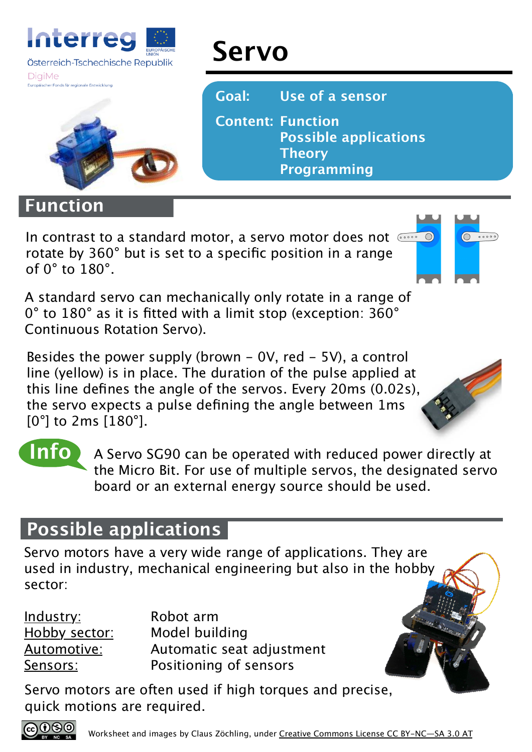

#### **DigiMe**



### **Function**

In contrast to a standard motor, a servo motor does not  $\overline{\cdots}$ rotate by 360° but is set to a specific position in a range of  $0^\circ$  to  $180^\circ$ .

**Servo**

**Goal: Use of a sensor**

**Theory**

**Programming**

**Possible applications**

**Content: Function** 

 $\bigcirc$   $\circ \circ \circ \circ$ 

A standard servo can mechanically only rotate in a range of 0° to 180° as it is fitted with a limit stop (exception: 360° Continuous Rotation Servo).

Besides the power supply (brown  $-$  0V, red  $-$  5V), a control line (yellow) is in place. The duration of the pulse applied at this line defines the angle of the servos. Every 20ms (0.02s), the servo expects a pulse defining the angle between 1ms [0°] to 2ms [180°].



**Info**

A Servo SG90 can be operated with reduced power directly at the Micro Bit. For use of multiple servos, the designated servo board or an external energy source should be used.

## **Possible applications**

Servo motors have a very wide range of applications. They are used in industry, mechanical engineering but also in the hobby sector:

Industry: Robot arm Hobby sector: Model building Automotive: Automatic seat adjustment Sensors: Positioning of sensors

Servo motors are often used if high torques and precise, quick motions are required.

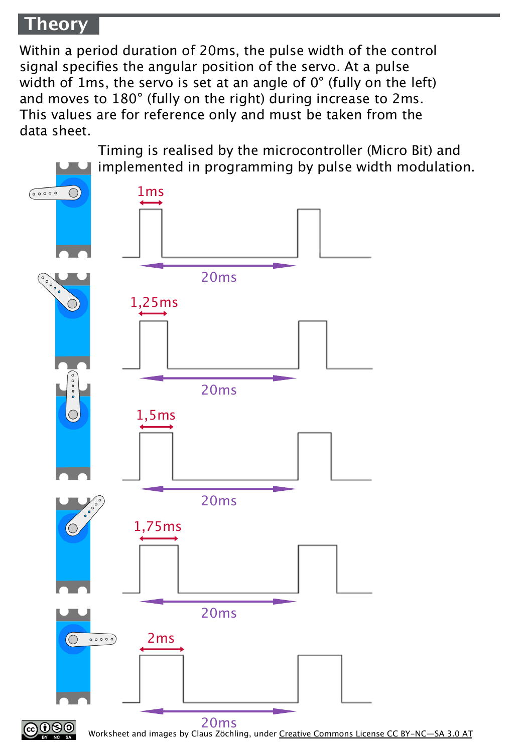### **Theory**

Within a period duration of 20ms, the pulse width of the control signal specifies the angular position of the servo. At a pulse width of 1ms, the servo is set at an angle of 0° (fully on the left) and moves to 180° (fully on the right) during increase to 2ms. This values are for reference only and must be taken from the data sheet.

Timing is realised by the microcontroller (Micro Bit) and implemented in programming by pulse width modulation.1ms  $\bigcirc$ 00000 20ms 1,25ms 20ms  $\bigcap$ 1,5ms 20ms



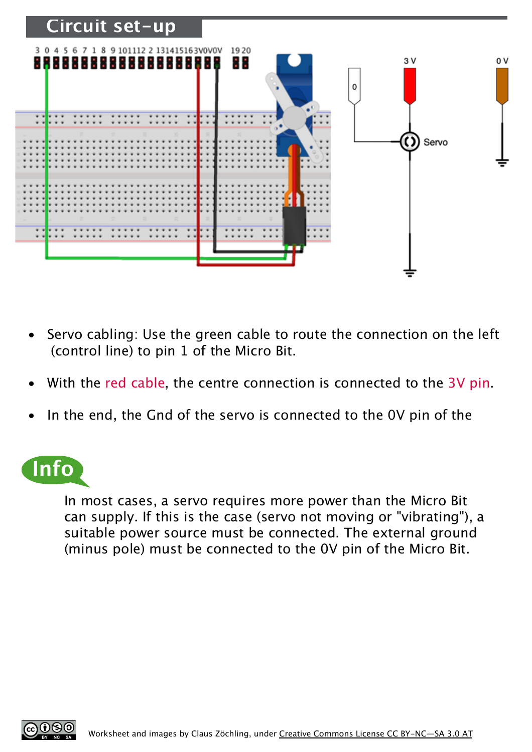

- Servo cabling: Use the green cable to route the connection on the left (control line) to pin 1 of the Micro Bit.
- With the red cable, the centre connection is connected to the 3V pin.
- In the end, the Gnd of the servo is connected to the OV pin of the

# **Info**

In most cases, a servo requires more power than the Micro Bit can supply. If this is the case (servo not moving or "vibrating"), a suitable power source must be connected. The external ground (minus pole) must be connected to the 0V pin of the Micro Bit.

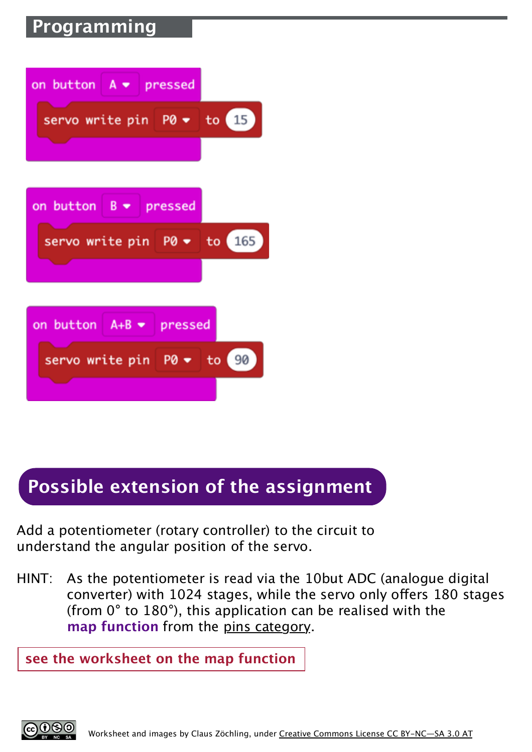# **Programming**

| on button $A \bullet p$ ressed      |  |
|-------------------------------------|--|
| servo write pin $P0 \bullet$ to 15  |  |
|                                     |  |
| on button $B \bullet$ pressed       |  |
| servo write pin $P0 \bullet$ to 165 |  |
|                                     |  |
| on button $A+B - p$ pressed         |  |
| servo write pin $P0 \bullet$ to 90  |  |
|                                     |  |

# **Possible extension of the assignment**

Add a potentiometer (rotary controller) to the circuit to understand the angular position of the servo.

HINT: As the potentiometer is read via the 10but ADC (analogue digital converter) with 1024 stages, while the servo only ofers 180 stages (from 0° to 180°), this application can be realised with the **map function** from the pins category.

**see the worksheet on the map function**